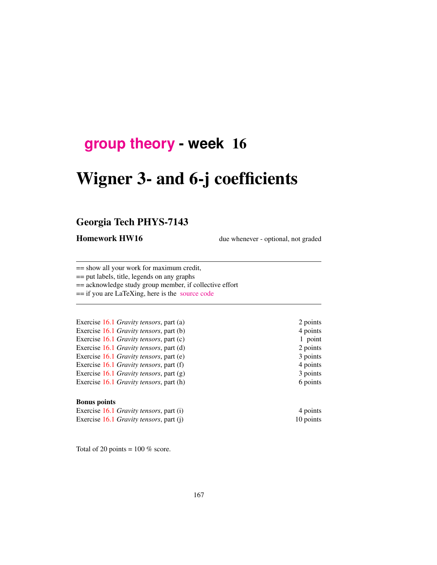# **[group theory](http://birdtracks.eu/courses/PHYS-7143-17/schedule.html) - week** 16

# Wigner 3- and 6-j coefficients

# Georgia Tech PHYS-7143

**Homework HW16** due whenever - optional, not graded

== show all your work for maximum credit,

== put labels, title, legends on any graphs

== acknowledge study group member, if collective effort

== if you are LaTeXing, here is the [source code](http://birdtracks.eu/courses/PHYS-7143-17/exerWeek15.zip)

Exercise 16.1 *Gravity tensors*, part (a) 2 points Exercise 16.1 *Gravity tensors*, part (b) 4 points Exercise 16.1 *Gravity tensors*, part (c) 1 point Exercise 16.1 *Gravity tensors*, part (d) 2 points Exercise 16.1 *Gravity tensors*, part (e) 3 points Exercise 16.1 *Gravity tensors*, part (f) 4 points Exercise 16.1 *Gravity tensors*, part (g) 3 points Exercise 16.1 *Gravity tensors*, part (h) 6 points

#### Bonus points

Exercise 16.1 *Gravity tensors*, part (i) 4 points Exercise 16.1 *Gravity tensors*, part (j) 10 points

Total of 20 points =  $100\%$  score.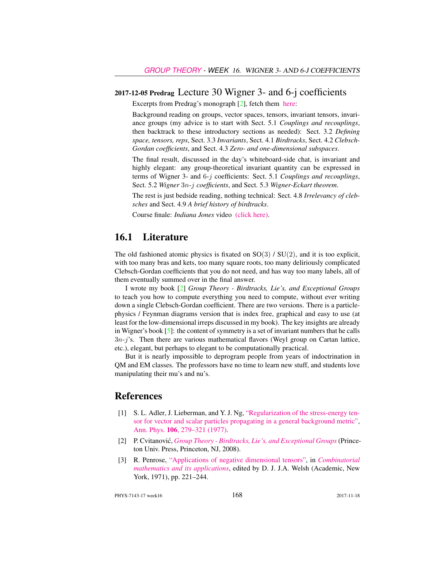## 2017-12-05 Predrag Lecture 30 Wigner 3- and 6-j coefficients

Excerpts from Predrag's monograph [2], fetch them [here:](http://birdtracks.eu/courses/PHYS-7143-17/week15lect30.pdf)

Background reading on groups, vector spaces, tensors, invariant tensors, invariance groups (my advice is to start with Sect. 5.1 *Couplings and recouplings*, then backtrack to these introductory sections as needed): Sect. 3.2 *Defining space, tensors, reps*, Sect. 3.3 *Invariants*, Sect. 4.1 *Birdtracks*, Sect. 4.2 *Clebsch-Gordan coefficients*, and Sect. 4.3 *Zero- and one-dimensional subspaces*.

The final result, discussed in the day's whiteboard-side chat, is invariant and highly elegant: any group-theoretical invariant quantity can be expressed in terms of Wigner 3- and 6-j coefficients: Sect. 5.1 *Couplings and recouplings*, Sect. 5.2 *Wigner* 3n*-*j *coefficients*, and Sect. 5.3 *Wigner-Eckart theorem*.

The rest is just bedside reading, nothing technical: Sect. 4.8 *Irrelevancy of clebsches* and Sect. 4.9 *A brief history of birdtracks*.

Course finale: *Indiana Jones* video [\(click here\).](https://www.youtube.com/embed/CvuoY_yPZeM)

# 16.1 Literature

The old fashioned atomic physics is fixated on  $SO(3)$  /  $SU(2)$ , and it is too explicit, with too many bras and kets, too many square roots, too many deliriously complicated Clebsch-Gordan coefficients that you do not need, and has way too many labels, all of them eventually summed over in the final answer.

I wrote my book [2] *Group Theory - Birdtracks, Lie's, and Exceptional Groups* to teach you how to compute everything you need to compute, without ever writing down a single Clebsch-Gordan coefficient. There are two versions. There is a particlephysics / Feynman diagrams version that is index free, graphical and easy to use (at least for the low-dimensional irreps discussed in my book). The key insights are already in Wigner's book  $[5]$ : the content of symmetry is a set of invariant numbers that he calls 3n-j's. Then there are various mathematical flavors (Weyl group on Cartan lattice, etc.), elegant, but perhaps to elegant to be computationally practical.

But it is nearly impossible to deprogram people from years of indoctrination in QM and EM classes. The professors have no time to learn new stuff, and students love manipulating their mu's and nu's.

## References

- [1] S. L. Adler, J. Lieberman, and Y. J. Ng, ["Regularization of the stress-energy ten](http://dx.doi.org/10.1016/0003-4916(77)90313-X)[sor for vector and scalar particles propagating in a general background metric",](http://dx.doi.org/10.1016/0003-4916(77)90313-X) Ann. Phys. 106[, 279–321 \(1977\).](http://dx.doi.org/10.1016/0003-4916(77)90313-X)
- [2] P. Cvitanovic,´ *[Group Theory Birdtracks, Lie's, and Exceptional Groups](http://dx.doi.org/10.1515/9781400837670)*(Princeton Univ. Press, Princeton, NJ, 2008).
- [3] R. Penrose, ["Applications of negative dimensional tensors",](http://homepages.math.uic.edu/~kauffman/Penrose.pdf) in *[Combinatorial](http://homepages.math.uic.edu/~kauffman/Penrose.pdf) [mathematics and its applications](http://homepages.math.uic.edu/~kauffman/Penrose.pdf)*, edited by D. J. J.A. Welsh (Academic, New York, 1971), pp. 221–244.

PHYS-7143-17 week16 168 2017-11-18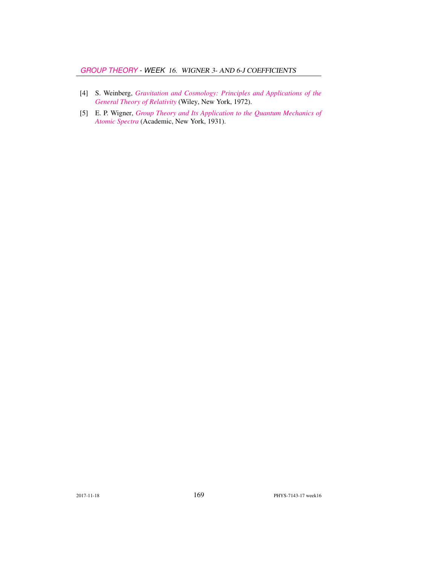- [4] S. Weinberg, *[Gravitation and Cosmology: Principles and Applications of the](http://dx.doi.org/10.1119/1.1987308) [General Theory of Relativity](http://dx.doi.org/10.1119/1.1987308)* (Wiley, New York, 1972).
- [5] E. P. Wigner, *[Group Theory and Its Application to the Quantum Mechanics of](http://books.google.com/books?vid=ISBN9780323152785) [Atomic Spectra](http://books.google.com/books?vid=ISBN9780323152785)* (Academic, New York, 1931).

2017-11-18 **169** PHYS-7143-17 week16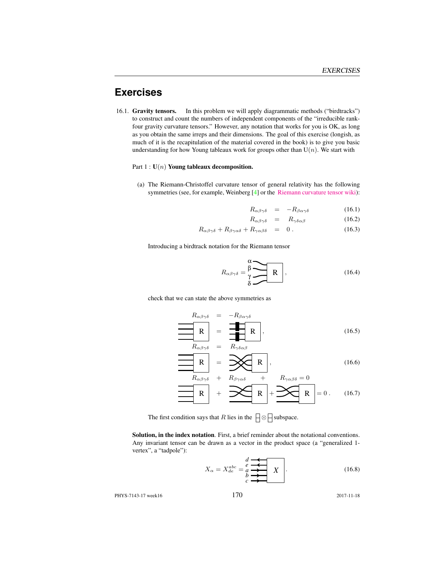# **Exercises**

16.1. Gravity tensors. In this problem we will apply diagrammatic methods ("birdtracks") to construct and count the numbers of independent components of the "irreducible rankfour gravity curvature tensors." However, any notation that works for you is OK, as long as you obtain the same irreps and their dimensions. The goal of this exercise (longish, as much of it is the recapitulation of the material covered in the book) is to give you basic understanding for how Young tableaux work for groups other than  $U(n)$ . We start with

#### Part  $1: U(n)$  Young tableaux decomposition.

(a) The Riemann-Christoffel curvature tensor of general relativity has the following symmetries (see, for example, Weinberg [4] or the [Riemann curvature tensor wiki\)](https://en.wikipedia.org/wiki/Riemann_curvature_tensor):

$$
R_{\alpha\beta\gamma\delta} = -R_{\beta\alpha\gamma\delta} \tag{16.1}
$$

$$
R_{\alpha\beta\gamma\delta} = R_{\gamma\delta\alpha\beta} \tag{16.2}
$$

$$
R_{\alpha\beta\gamma\delta} + R_{\beta\gamma\alpha\delta} + R_{\gamma\alpha\beta\delta} = 0.
$$
 (16.3)

Introducing a birdtrack notation for the Riemann tensor

$$
R_{\alpha\beta\gamma\delta} = \frac{\beta}{\gamma} \sum_{\delta} R \tag{16.4}
$$

check that we can state the above symmetries as

$$
R_{\alpha\beta\gamma\delta} = -R_{\beta\alpha\gamma\delta}
$$
  
\n
$$
R_{\alpha\beta\gamma\delta} = \frac{1}{\sqrt{1-\frac{1}{2}}R},
$$
  
\n
$$
R_{\alpha\beta\gamma\delta} = R_{\gamma\delta\alpha\beta}
$$
 (16.5)

$$
R_{\alpha\beta\gamma\delta} = R_{\gamma\delta\alpha\beta}
$$
\n
$$
R_{\alpha\beta\gamma\delta} = \mathbf{R}_{\gamma\delta\alpha\beta}
$$
\n
$$
R_{\alpha\beta\gamma\delta} + R_{\beta\gamma\alpha\delta} + R_{\gamma\alpha\beta\delta} = 0
$$
\n(16.6)

$$
\mathbf{R} + \mathbf{R} + \mathbf{R} + \mathbf{R} + \mathbf{R} + \mathbf{R} + \mathbf{R} + \mathbf{R} + \mathbf{R} + \mathbf{R} + \mathbf{R} + \mathbf{R} + \mathbf{R} + \mathbf{R} + \mathbf{R} + \mathbf{R} + \mathbf{R} + \mathbf{R} + \mathbf{R} + \mathbf{R} + \mathbf{R} + \mathbf{R} + \mathbf{R} + \mathbf{R} + \mathbf{R} + \mathbf{R} + \mathbf{R} + \mathbf{R} + \mathbf{R} + \mathbf{R} + \mathbf{R} + \mathbf{R} + \mathbf{R} + \mathbf{R} + \mathbf{R} + \mathbf{R} + \mathbf{R} + \mathbf{R} + \mathbf{R} + \mathbf{R} + \mathbf{R} + \mathbf{R} + \mathbf{R} + \mathbf{R} + \mathbf{R} + \mathbf{R} + \mathbf{R} + \mathbf{R} + \mathbf{R} + \mathbf{R} + \mathbf{R} + \mathbf{R} + \mathbf{R} + \mathbf{R} + \mathbf{R} + \mathbf{R} + \mathbf{R} + \mathbf{R} + \mathbf{R} + \mathbf{R} + \mathbf{R} + \mathbf{R} + \mathbf{R} + \mathbf{R} + \mathbf{R} + \mathbf{R} + \mathbf{R} + \mathbf{R} + \mathbf{R} + \mathbf{R} + \mathbf{R} + \mathbf{R} + \mathbf{R} + \mathbf{R} + \mathbf{R} + \mathbf{R} + \mathbf{R} + \mathbf{R} + \mathbf{R} + \mathbf{R} + \mathbf{R} + \mathbf{R} + \mathbf{R} + \mathbf{R} + \mathbf{R} + \mathbf{R} + \mathbf{R} + \mathbf{R} + \mathbf{R} + \mathbf{R} + \mathbf{R} + \mathbf{R} + \mathbf{R} + \mathbf{R} + \mathbf{R} + \mathbf{R} + \mathbf{R} + \mathbf{R} + \mathbf{R} + \mathbf{R} + \mathbf{R} + \mathbf{R} + \mathbf{R} + \mathbf{R} + \mathbf{R} + \mathbf{R} + \mathbf{R} + \mathbf{R} + \mathbf{
$$

The first condition says that R lies in the  $\Box \otimes \Box$  subspace.

Solution, in the index notation. First, a brief reminder about the notational conventions. Any invariant tensor can be drawn as a vector in the product space (a "generalized 1 vertex", a "tadpole"):

$$
X_{\alpha} = X_{de}^{abc} = \underbrace{\stackrel{d}{e} \xrightarrow{\bullet}}_{c} X \qquad (16.8)
$$

PHYS-7143-17 week16 170 2017-11-18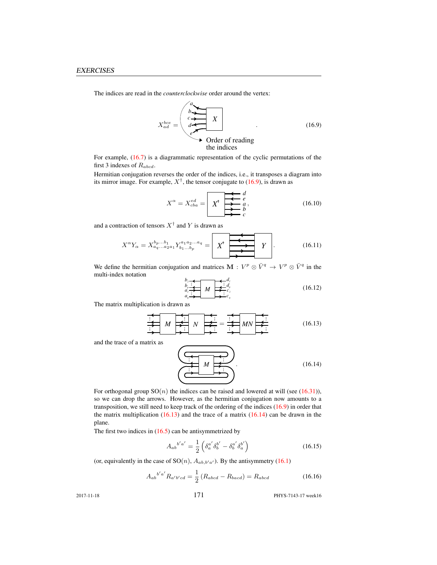The indices are read in the *counterclockwise* order around the vertex:

$$
X_{ad}^{bce} = \begin{pmatrix} a & & \\ b & \searrow & \\ c & \searrow & X \\ e^{\searrow} & & \\ e^{\searrow} & & \\ \searrow & & \\ \searrow & & \\ \searrow & & \\ \searrow & & & \\ \searrow & & & \\ \searrow & & & \\ \searrow & & & \\ \searrow & & & \\ \searrow & & & \\ \searrow & & & \\ \searrow & & & \\ \searrow & & & \\ \searrow & & & \\ \searrow & & & \\ \searrow & & & \\ \searrow & & & \\ \searrow & & & \\ \searrow & & & \\ \searrow & & & \\ \searrow & & & \\ \searrow & & & \\ \searrow & & & \\ \searrow & & & \\ \searrow & & & \\ \searrow & & & \\ \searrow & & & \\ \searrow & & & \\ \searrow & & & \\ \searrow & & & \\ \searrow & & & \\ \searrow & & & \\ \searrow & & & \\ \searrow & & & \\ \searrow & & & \\ \searrow & & & \\ \searrow & & & \\ \searrow & & & \\ \searrow & & & \\ \searrow & & & \\ \searrow & & & \\ \searrow & & & \\ \searrow & & & \\ \searrow & & & \\ \searrow & & & \\ \searrow & & & \\ \searrow & & & \\ \searrow & & & \\ \searrow & & & \\ \searrow & & & \\ \searrow & & & \\ \searrow & & & \\ \searrow & & & \\ \searrow & & & \\ \searrow & & & \\ \searrow & & & \\ \searrow & & & \\ \searrow & & & \\ \searrow & & & \\ \searrow & & & \\ \searrow & & & \\ \searrow & & & \\ \searrow & & & \\ \searrow & & & \\ \searrow & & & \\ \searrow & & & \\ \searrow & & & \\ \searrow & & & \\ \searrow & & & \\ \searrow & & & \\ \searrow & & & \\ \searrow & & & \\ \searrow & & & \\ \searrow & & & \\ \searrow & & & \\ \searrow & & & \\ \searrow & & & \\ \searrow & & & \\ \searrow & & & \\ \searrow & & & \\ \searrow & & & \\ \searrow & & & \\ \searrow & & & \\ \searrow & & & \\ \searrow & & & \\ \searrow & & & \\ \searrow & & & \\ \searrow & & & \\ \searrow & & & \\ \searrow & & & \\ \searrow & & & \\ \searrow & & & \\ \searrow & & & \\ \searrow & & & \\ \searrow & & & \\ \searrow & & & \\ \searrow & & & \\ \searrow & & & \\ \searrow & & & \\ \searrow & & & \\ \searrow & & & \\ \searrow & & & \\ \searrow
$$

For example, (16.7) is a diagrammatic representation of the cyclic permutations of the first 3 indexes of  $R_{abcd}$ .

Hermitian conjugation reverses the order of the indices, i.e., it transposes a diagram into its mirror image. For example,  $X^{\dagger}$ , the tensor conjugate to (16.9), is drawn as

$$
X^{\alpha} = X_{cba}^{ed} = \boxed{\n \begin{array}{c}\n X^{\dagger} & \xleftarrow{d} \\
 X^{\dagger} & \xleftarrow{e} \\
 \xleftarrow{e} \\
 B & \xleftarrow{e}\n \end{array}\n \right.}\n \tag{16.10}
$$

and a contraction of tensors  $X^{\dagger}$  and Y is drawn as

$$
X^{\alpha}Y_{\alpha} = X_{a_q...a_2a_1}^{b_p...b_1} Y_{b_1...b_p}^{a_1a_2...a_q} = \boxed{X^{\dagger}}
$$
 
$$
Y
$$
 (16.11)

We define the hermitian conjugation and matrices  $\mathbf{M}: V^p \otimes \bar{V}^q \to V^p \otimes \bar{V}^q$  in the multi-index notation

$$
\begin{array}{c}\nb_i \\
b_i \\
d_i \\
d_q\n\end{array}\n\qquad\n\begin{array}{c}\n\downarrow d_i \\
\downarrow d_p \\
\downarrow c_i \\
c_q\n\end{array}\n\qquad (16.12)
$$

The matrix multiplication is drawn as

*N* ... ... *M* ... ... = ... ... ... *MN* ... (16.13)

and the trace of a matrix as

$$
\begin{pmatrix}\n\overbrace{\left(\begin{array}{c}\n\overbrace{\left(\begin{array}{c}\n\overbrace{\left(\begin{array}{c}\n\overbrace{\left(\begin{array}{c}\n\overbrace{\left(\begin{array}{c}\n\overbrace{\left(\begin{array}{c}\n\overbrace{\left(\begin{array}{c}\n\overbrace{\left(\begin{array}{c}\n\overbrace{\left(\begin{array}{c}\n\overbrace{\left(\begin{array}{c}\n\overbrace{\left(\begin{array}{c}\n\overbrace{\left(\begin{array}{c}\n\overbrace{\left(\begin{array}{c}\n\overbrace{\left(\begin{array}{c}\n\overbrace{\left(\begin{array}{c}\n\overbrace{\left(\begin{array}{c}\n\overbrace{\left(\begin{array}{c}\n\overbrace{\left(\begin{array}{c}\n\overbrace{\left(\begin{array}{c}\n\overbrace{\left(\begin{array}{c}\n\overbrace{\left(\begin{array}{c}\n\overbrace{\left(\begin{array}{c}\n\overbrace{\left(\begin{array}{c}\n\overbrace{\left(\begin{array}{c}\n\overline{\right)}\right}}\right)}\right}}\right)}\right)}\right}}\right)}\n\overbrace{\left(\begin{array}{c}\n\overbrace{\left(\begin{array}{c}\n\overbrace{\left(\begin{array}{c}\n\overbrace{\left(\begin{array}{c}\n\overbrace{\left(\begin{array}{c}\n\overbrace{\left(\begin{array}{c}\n\overbrace{\left(\begin{array}{c}\n\overline{\left(\begin{array}{c}\n\overline{\left(\begin{array}{c}\n\overline{\left(\right\begin{array}{c}\n\overline{\left(\begin{array}{c}\n\overline{\left(\begin{array}{c}\n\overline{\left(\begin{array}{c}\n\overline{\left(\right\right)}\right)}\right)}\right}}\right)}\right}}\right)}\right\end{\\ \left(\overbrace{\left(\begin{array}{c}\n\overbrace{\left(\begin{array}{c}\n\overbrace{\left(\begin{array}{c}\n\overline{\left(\begin{array}{c}\n\overline{\left(\begin{array}{c}\n\overline{\left(\right)}\right)}\right)}\right)}\right)}\right)}\right)}\right)}\end{pmatrix}}\n\overbrace{\left(\begin{array}{c}\n\overbrace{\left(\begin{array}{c}\n\overbrace{\left(\begin{array}{c}\n\overbrace{\left(\begin{array}{c}\n\overline{\left(\left(\right)}\right)}\right)}\right)}\right)}\right)}\right)}\right)}\end{array}\n\end{pmatrix}}\n\overbrace{\left(\
$$

For orthogonal group  $SO(n)$  the indices can be raised and lowered at will (see (16.31)), so we can drop the arrows. However, as the hermitian conjugation now amounts to a transposition, we still need to keep track of the ordering of the indices (16.9) in order that the matrix multiplication  $(16.13)$  and the trace of a matrix  $(16.14)$  can be drawn in the plane.

The first two indices in  $(16.5)$  can be antisymmetrized by

$$
A_{ab}{}^{b'a'} = \frac{1}{2} \left( \delta_a^{a'} \delta_b^{b'} - \delta_b^{a'} \delta_a^{b'} \right)
$$
 (16.15)

(or, equivalently in the case of  $SO(n)$ ,  $A_{ab,b'a'}$ ). By the antisymmetry (16.1)

$$
A_{ab}{}^{b'a'} R_{a'b'cd} = \frac{1}{2} (R_{abcd} - R_{bacd}) = R_{abcd}
$$
 (16.16)

2017-11-18 **PHYS-7143-17** week16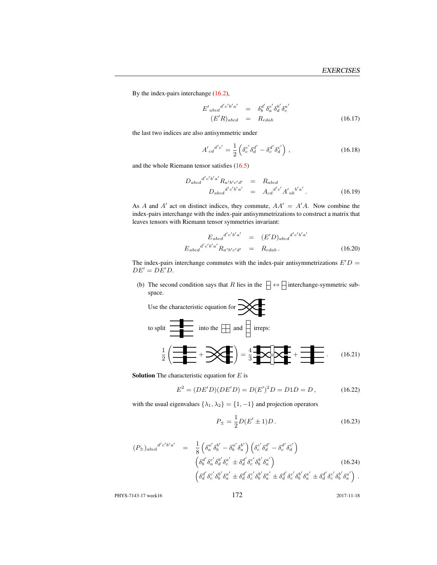By the index-pairs interchange (16.2),

$$
E'_{abcd}{}^{d'c'b'a'} = \delta^{d'}_b \delta^{c'}_a \delta^{b'}_d \delta^{a'}_c
$$
  
(E'R)<sub>abcd</sub> = R<sub>cdab</sub> (16.17)

the last two indices are also antisymmetric under

$$
A'_{cd}^{d'c'} = \frac{1}{2} \left( \delta_c^{c'} \delta_d^{d'} - \delta_c^{d'} \delta_d^{c'} \right), \qquad (16.18)
$$

and the whole Riemann tensor satisfies (16.5)

$$
D_{abcd}^{d'c'b'a'} R_{a'b'c'd'} = R_{abcd}
$$
  
\n
$$
D_{abcd}^{d'c'b'a'} = A_{cd}^{d'c'} A'_{ab}^{b'a'}.
$$
\n(16.19)

As A and A' act on distinct indices, they commute,  $AA' = A'A$ . Now combine the index-pairs interchange with the index-pair antisymmetrizations to construct a matrix that leaves tensors with Riemann tensor symmetries invariant:

$$
E_{abcd}{}^{d'c'b'a'} = (E'D)_{abcd}{}^{d'c'b'a'} E_{abcd}{}^{d'c'b'a'} R_{a'b'c'd'} = R_{cdab}.
$$
 (16.20)

The index-pairs interchange commutes with the index-pair antisymmetrizations  $E'D =$  $DE^{\prime}=DE^{\prime}D.$ 

(b) The second condition says that R lies in the  $\Box \leftrightarrow \Box$  interchange-symmetric subspace.

Use the characteristic equation for 
$$
\frac{1}{2} \left( \frac{1}{\frac{1}{2}} + \frac{1}{2} \times \frac{1}{2} \right) = \frac{4}{3} \frac{1}{2} \times \frac{1}{2} \times \frac{1}{2} \times \frac{1}{2} \times \frac{1}{2} \times \frac{1}{2} \times \frac{1}{2} \times \frac{1}{2} \times \frac{1}{2} \times \frac{1}{2} \times \frac{1}{2} \times \frac{1}{2} \times \frac{1}{2} \times \frac{1}{2} \times \frac{1}{2} \times \frac{1}{2} \times \frac{1}{2} \times \frac{1}{2} \times \frac{1}{2} \times \frac{1}{2} \times \frac{1}{2} \times \frac{1}{2} \times \frac{1}{2} \times \frac{1}{2} \times \frac{1}{2} \times \frac{1}{2} \times \frac{1}{2} \times \frac{1}{2} \times \frac{1}{2} \times \frac{1}{2} \times \frac{1}{2} \times \frac{1}{2} \times \frac{1}{2} \times \frac{1}{2} \times \frac{1}{2} \times \frac{1}{2} \times \frac{1}{2} \times \frac{1}{2} \times \frac{1}{2} \times \frac{1}{2} \times \frac{1}{2} \times \frac{1}{2} \times \frac{1}{2} \times \frac{1}{2} \times \frac{1}{2} \times \frac{1}{2} \times \frac{1}{2} \times \frac{1}{2} \times \frac{1}{2} \times \frac{1}{2} \times \frac{1}{2} \times \frac{1}{2} \times \frac{1}{2} \times \frac{1}{2} \times \frac{1}{2} \times \frac{1}{2} \times \frac{1}{2} \times \frac{1}{2} \times \frac{1}{2} \times \frac{1}{2} \times \frac{1}{2} \times \frac{1}{2} \times \frac{1}{2} \times \frac{1}{2} \times \frac{1}{2} \times \frac{1}{2} \times \frac{1}{2} \times \frac{1}{2} \times \frac{1}{2} \times \frac{1}{2} \times \frac{1}{2} \times \frac{1}{2} \times \frac{1}{2} \times \frac{1}{2} \times \frac{1}{2} \times \frac{1}{2} \times \frac{1}{2} \times \frac{1}{2} \times \frac{
$$

**Solution** The characteristic equation for  $E$  is

$$
E2 = (DE'D)(DE'D) = D(E')2D = D1D = D,
$$
 (16.22)

with the usual eigenvalues  $\{\lambda_1, \lambda_2\} = \{1, -1\}$  and projection operators

 $\overline{1}$ 

$$
P_{\pm} = \frac{1}{2}D(E' \pm 1)D. \tag{16.23}
$$

$$
(P_{\pm})_{abcd}{}^{d'c'b'a'} = \frac{1}{8} \left( \delta_a^{a'} \delta_b^{b'} - \delta_b^{a'} \delta_a^{b'} \right) \left( \delta_c^{c'} \delta_d^{d'} - \delta_c^{d'} \delta_d^{c'} \right) \n\left( \delta_b^{d'} \delta_a^{c'} \delta_d^{b'} \delta_a^{a'} \pm \delta_d^{d'} \delta_c^{c'} \delta_b^{b'} \delta_a^{a'} \right) \n\left( \delta_d^{d'} \delta_c^{c'} \delta_b^{b'} \delta_a^{a'} \pm \delta_d^{d'} \delta_c^{c'} \delta_b^{b'} \delta_a^{a'} \pm \delta_d^{d'} \delta_c^{c'} \delta_b^{b'} \delta_a^{a'} \pm \delta_d^{d'} \delta_c^{c'} \delta_b^{b'} \delta_a^{a'} \right).
$$
\n(16.24)

PHYS-7143-17 week16 172 2017-11-18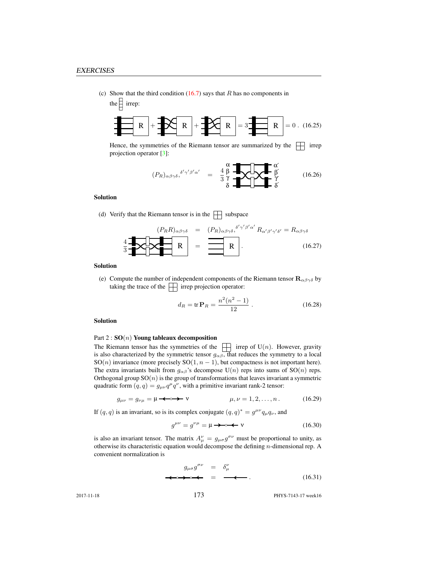(c) Show that the third condition  $(16.7)$  says that R has no components in the  $\frac{1}{2}$  irrep:

$$
\mathbf{R} + \mathbf{R} + \mathbf{R} + \mathbf{R}
$$

Hence, the symmetries of the Riemann tensor are summarized by the  $\Box$  irrep projection operator [3]:

$$
(P_R)_{\alpha\beta\gamma\delta}, \delta'\gamma'\beta'\alpha' = \frac{4}{3}\frac{\beta}{\gamma} \sqrt{\frac{4}{\gamma}} \sqrt{\frac{\beta}{\gamma}} \qquad (16.26)
$$

#### Solution

(d) Verify that the Riemann tensor is in the  $\Box$  subspace

$$
\left\{\mathbf{R}R\right\}_{\alpha\beta\gamma\delta} = (P_R)_{\alpha\beta\gamma\delta}, \delta'\gamma'\beta'\alpha' R_{\alpha'\beta'\gamma'\delta'} = R_{\alpha\beta\gamma\delta}
$$
\n
$$
\mathbf{R} = \mathbf{R} \mathbf{R} \tag{16.27}
$$

#### Solution

(e) Compute the number of independent components of the Riemann tensor  $\mathbf{R}_{\alpha\beta\gamma\delta}$  by taking the trace of the  $\Box$  irrep projection operator:

$$
d_R = \text{tr}\,\mathbf{P}_R = \frac{n^2(n^2 - 1)}{12} \ . \tag{16.28}
$$

#### Solution

#### Part  $2: SO(n)$  Young tableaux decomposition

The Riemann tensor has the symmetries of the  $\Box$  irrep of U(n). However, gravity is also characterized by the symmetric tensor  $g_{\alpha\beta}$ , that reduces the symmetry to a local SO(n) invariance (more precisely SO(1,  $n - 1$ ), but compactness is not important here). The extra invariants built from  $g_{\alpha\beta}$ 's decompose U(n) reps into sums of SO(n) reps. Orthogonal group  $SO(n)$  is the group of transformations that leaves invariant a symmetric quadratic form  $(q, q) = g_{\mu\nu}q^{\mu}q^{\nu}$ , with a primitive invariant rank-2 tensor:

$$
g_{\mu\nu} = g_{\nu\mu} = \mu \longrightarrow \mathbf{v} \qquad \qquad \mu, \nu = 1, 2, \dots, n. \tag{16.29}
$$

If  $(q, q)$  is an invariant, so is its complex conjugate  $(q, q)^* = g^{\mu\nu} q_\mu q_\nu$ , and

g µν = g νµ = µ ν (16.30)

is also an invariant tensor. The matrix  $A^{\nu}_{\mu} = g_{\mu\sigma} g^{\sigma\nu}$  must be proportional to unity, as otherwise its characteristic equation would decompose the defining  $n$ -dimensional rep. A convenient normalization is

$$
g_{\mu\sigma}g^{\sigma\nu} = \delta^{\nu}_{\mu}
$$
  
\n
$$
\Leftrightarrow \Leftrightarrow \Leftrightarrow = \Leftrightarrow .
$$
 (16.31)

2017-11-18 **PHYS-7143-17** week16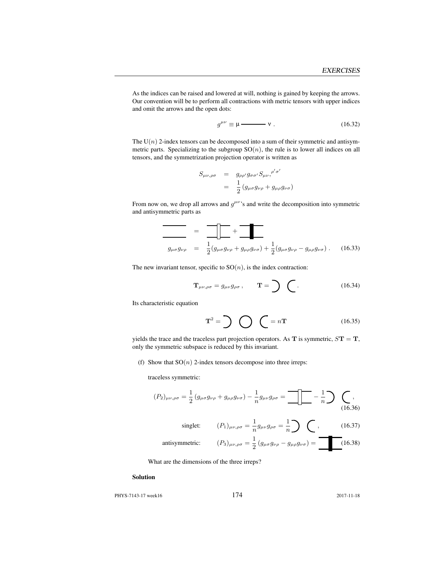As the indices can be raised and lowered at will, nothing is gained by keeping the arrows. Our convention will be to perform all contractions with metric tensors with upper indices and omit the arrows and the open dots:

$$
g^{\mu\nu} \equiv \mu \longrightarrow \mathbf{v} \ . \tag{16.32}
$$

The  $U(n)$  2-index tensors can be decomposed into a sum of their symmetric and antisymmetric parts. Specializing to the subgroup  $SO(n)$ , the rule is to lower all indices on all tensors, and the symmetrization projection operator is written as

$$
S_{\mu\nu,\rho\sigma} = g_{\rho\rho'} g_{\sigma\sigma'} S_{\mu\nu,}^{\rho'\sigma'}
$$
  
= 
$$
\frac{1}{2} (g_{\mu\sigma} g_{\nu\rho} + g_{\mu\rho} g_{\nu\sigma})
$$

From now on, we drop all arrows and  $g^{\mu\nu}$ 's and write the decomposition into symmetric and antisymmetric parts as

$$
\frac{\overline{\phantom{0}}}{g_{\mu\sigma}g_{\nu\rho}} = \frac{\overline{\phantom{0}}}{\frac{1}{2}(g_{\mu\sigma}g_{\nu\rho} + g_{\mu\rho}g_{\nu\sigma}) + \frac{1}{2}(g_{\mu\sigma}g_{\nu\rho} - g_{\mu\rho}g_{\nu\sigma})}. \quad (16.33)
$$

The new invariant tensor, specific to  $SO(n)$ , is the index contraction:

$$
\mathbf{T}_{\mu\nu,\rho\sigma} = g_{\mu\nu} g_{\rho\sigma}, \qquad \mathbf{T} = \sum \quad (16.34)
$$

Its characteristic equation

$$
\mathbf{T}^2 = \sum \bigotimes \bigotimes = n\mathbf{T} \tag{16.35}
$$

yields the trace and the traceless part projection operators. As  $T$  is symmetric,  $S T = T$ , only the symmetric subspace is reduced by this invariant.

(f) Show that  $SO(n)$  2-index tensors decompose into three irreps:

traceless symmetric:

$$
(P_2)_{\mu\nu,\rho\sigma} = \frac{1}{2} \left( g_{\mu\sigma} g_{\nu\rho} + g_{\mu\rho} g_{\nu\sigma} \right) - \frac{1}{n} g_{\mu\nu} g_{\rho\sigma} = \boxed{\mathbb{I}} - \frac{1}{n} \mathbb{I} \tag{16.36}
$$
\n
$$
\text{singlet:} \qquad (P_1)_{\mu\nu,\rho\sigma} = \frac{1}{n} g_{\mu\nu} g_{\rho\sigma} = \frac{1}{n} \mathbb{I} \tag{16.37}
$$

antisymmetric: 
$$
(P_3)_{\mu\nu,\rho\sigma} = \frac{1}{2} (g_{\mu\sigma} g_{\nu\rho} - g_{\mu\rho} g_{\nu\sigma}) = \boxed{\phantom{0}} (16.38)
$$

What are the dimensions of the three irreps?

#### Solution

PHYS-7143-17 week16 174 2017-11-18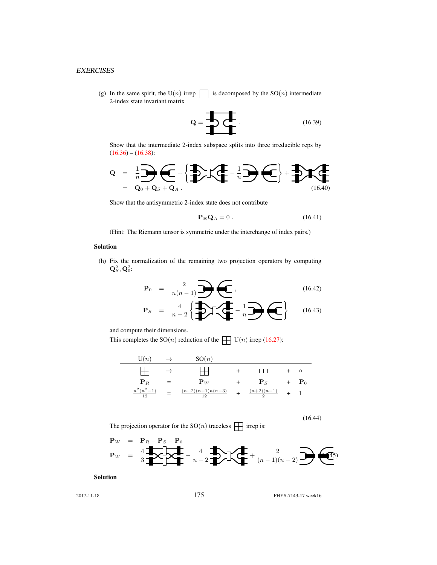(g) In the same spirit, the U(n) irrep  $\|\cdot\|$  is decomposed by the SO(n) intermediate 2-index state invariant matrix

$$
\mathbf{Q} = \begin{array}{c}\n\bullet \\
\bullet \\
\bullet\n\end{array}
$$
\n(16.39)

Show that the intermediate 2-index subspace splits into three irreducible reps by  $(16.36) - (16.38):$ 

$$
Q = \frac{1}{n} \sum_{\mathbf{Q}_0 + \mathbf{Q}_S + \mathbf{Q}_A} \left\{ \sum_{i=1}^{n} \mathbf{I} \left( \sum_{i=1}^{n} \mathbf{I} \right) \left( \sum_{i=1}^{n} \mathbf{I} \right) \right\} + \sum_{i=1}^{n} \mathbf{I} \left( \sum_{i=1}^{n} \mathbf{I} \right)
$$

Show that the antisymmetric 2-index state does not contribute

$$
\mathbf{P}_{\mathbf{R}}\mathbf{Q}_A = 0. \tag{16.41}
$$

(Hint: The Riemann tensor is symmetric under the interchange of index pairs.)

#### Solution

(h) Fix the normalization of the remaining two projection operators by computing  $\mathbf{Q}^2_S, \mathbf{Q}^2_0$ :

$$
\mathbf{P}_0 = \frac{2}{n(n-1)} \sum \left( \frac{16.42}{n} \right) \tag{16.42}
$$

$$
\mathbf{P}_S = \frac{4}{n-2} \left\{ \frac{1}{2} \sum \left( \frac{1}{n} - \frac{1}{n} \right) \left( \frac{1}{n} \right) \right\} \tag{16.43}
$$

and compute their dimensions.

This completes the  $SO(n)$  reduction of the  $\Box$   $U(n)$  irrep (16.27):

| $\mathrm{U}(n)$         | $\rightarrow$ | SO(n)                         |                        |                    |
|-------------------------|---------------|-------------------------------|------------------------|--------------------|
|                         | $\rightarrow$ |                               |                        | $\circ$            |
| ${\bf P}_R$             | $=$           | ${\bf P}_W$                   | ${\bf P}_S$            | $+$ $\mathbf{P}_0$ |
| $\frac{n^2(n^2-1)}{12}$ |               | $\frac{(n+2)(n+1)n(n-3)}{12}$ | $\frac{(n+2)(n-1)}{2}$ |                    |

(16.44)

The projection operator for the  $\mathrm{SO}(n)$  traceless  $\,\prod\,$  irrep is:

$$
\mathbf{P}_W = \frac{1}{3} \underbrace{\mathbf{P}_R - \mathbf{P}_S - \mathbf{P}_0}_{n-2} - \underbrace{\mathbf{P}_R - \mathbf{P}_T - \mathbf{P}_T - \mathbf{P}_T - \mathbf{P}_T - \mathbf{P}_T - \mathbf{P}_T - \mathbf{P}_T - \mathbf{P}_T - \mathbf{P}_T - \mathbf{P}_T - \mathbf{P}_T - \mathbf{P}_T - \mathbf{P}_T - \mathbf{P}_T - \mathbf{P}_T - \mathbf{P}_T - \mathbf{P}_T - \mathbf{P}_T - \mathbf{P}_T - \mathbf{P}_T - \mathbf{P}_T - \mathbf{P}_T - \mathbf{P}_T - \mathbf{P}_T - \mathbf{P}_T - \mathbf{P}_T - \mathbf{P}_T - \mathbf{P}_T - \mathbf{P}_T - \mathbf{P}_T - \mathbf{P}_T - \mathbf{P}_T - \mathbf{P}_T - \mathbf{P}_T - \mathbf{P}_T - \mathbf{P}_T - \mathbf{P}_T - \mathbf{P}_T - \mathbf{P}_T - \mathbf{P}_T - \mathbf{P}_T - \mathbf{P}_T - \mathbf{P}_T - \mathbf{P}_T - \mathbf{P}_T - \mathbf{P}_T - \mathbf{P}_T - \mathbf{P}_T - \mathbf{P}_T - \mathbf{P}_T - \mathbf{P}_T - \mathbf{P}_T - \mathbf{P}_T - \mathbf{P}_T - \mathbf{P}_T - \mathbf{P}_T - \mathbf{P}_T - \mathbf{P}_T - \mathbf{P}_T - \mathbf{P}_T - \mathbf{P}_T - \mathbf{P}_T - \mathbf{P}_T - \mathbf{P}_T - \mathbf{P}_T - \mathbf{P}_T - \mathbf{P}_T - \mathbf{P}_T - \mathbf{P}_T - \mathbf{P}_T - \mathbf{P}_T - \mathbf{P}_T - \mathbf{P}_T - \mathbf{P}_T - \mathbf{P}_T - \mathbf{P}_T - \mathbf{P}_T - \mathbf{P}_T - \mathbf{P}_T - \mathbf{P}_T - \mathbf{P}_T - \mathbf{P}_T - \mathbf{P}_T - \mathbf{P}_T - \mathbf{P}_T - \mathbf{P}_T - \mathbf{P}_T - \mathbf{P}_
$$

Solution

2017-11-18 **PHYS-7143-17** week16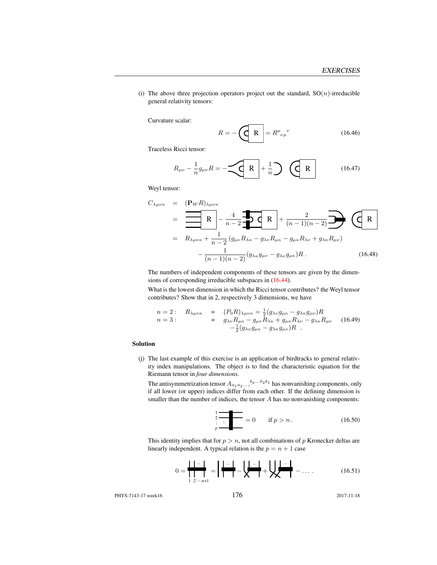(i) The above three projection operators project out the standard,  $SO(n)$ -irreducible general relativity tensors:

Curvature scalar:

$$
R = -\left(\underbrace{\mathbf{R}}^{\mathbf{R}}\right) = R^{\mu}{}_{\nu\mu}{}^{\nu} \tag{16.46}
$$

Traceless Ricci tensor:

$$
R_{\mu\nu} - \frac{1}{n} g_{\mu\nu} R = -\underbrace{\left(\mathbf{R}\right)} + \frac{1}{n} \underbrace{\left(\mathbf{R}\right)} \qquad (16.47)
$$

Weyl tensor:

$$
C_{\lambda\mu\nu\kappa} = (\mathbf{P}_{W}R)_{\lambda\mu\nu\kappa}
$$
  
=  $\frac{\mathbf{R}}{\mathbf{R}} - \frac{4}{n-2} \mathbf{Q}_{W}R + \frac{2}{(n-1)(n-2)} \mathbf{Q}_{W}R$   
=  $R_{\lambda\mu\nu\kappa} + \frac{1}{n-2} (g_{\mu\nu}R_{\lambda\kappa} - g_{\lambda\nu}R_{\mu\kappa} - g_{\mu\kappa}R_{\lambda\nu} + g_{\lambda\kappa}R_{\mu\nu})$   
 $- \frac{1}{(n-1)(n-2)} (g_{\lambda\kappa}g_{\mu\nu} - g_{\lambda\nu}g_{\mu\kappa})R$ . (16.48)

The numbers of independent components of these tensors are given by the dimensions of corresponding irreducible subspaces in (16.44).

What is the lowest dimension in which the Ricci tensor contributes? the Weyl tensor contributes? Show that in 2, respectively 3 dimensions, we have

n = 2 : Rλµνκ = (P0R)λµνκ = 1 2 (gλνgµκ − gλκgµν)R n = 3 : = gλνRµκ − gµνRλκ + gµκRλν − gλκRµν − 1 2 (gλνgµκ − gλκgµν)R . (16.49)

### Solution

(j) The last example of this exercise is an application of birdtracks to general relativity index manipulations. The object is to find the characteristic equation for the Riemann tensor in *four dimensions*.

The antisymmetrization tensor  $A_{a_1 a_2 ...}$ ,  $b_p ... b_2 b_1$  has nonvanishing components, only if all lower (or upper) indices differ from each other. If the defining dimension is smaller than the number of indices, the tensor A has no nonvanishing components:

$$
\frac{2}{p} = 0 \quad \text{if } p > n. \tag{16.50}
$$

This identity implies that for  $p > n$ , not all combinations of p Kronecker deltas are linearly independent. A typical relation is the  $p = n + 1$  case

$$
0 = \frac{\mathbf{1} \mathbf{1} \cdots \mathbf{1}}{\mathbf{1} \mathbf{1} \mathbf{1}} = \mathbf{1} \frac{\mathbf{1} \cdots \mathbf{1}}{\mathbf{1} \mathbf{1} \cdots \mathbf{1}} - \mathbf{1} \frac{\mathbf{1} \cdots \mathbf{1}}{\mathbf{1} \mathbf{1}} + \mathbf{1} \frac{\mathbf{1} \cdots \mathbf{1}}{\mathbf{1}} - \cdots
$$
 (16.51)

PHYS-7143-17 week16 176 2017-11-18